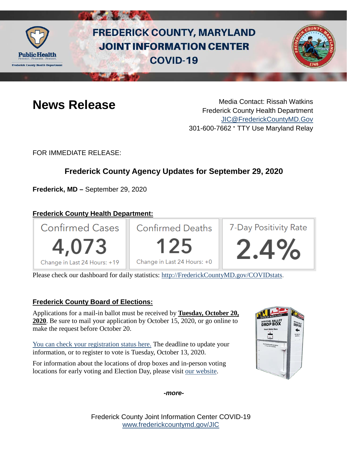

# **FREDERICK COUNTY, MARYLAND JOINT INFORMATION CENTER COVID-19**



**News Release** Media Contact: Rissah Watkins Frederick County Health Department [JIC@FrederickCountyMD.Gov](mailto:JIC@FrederickCountyMD.Gov) 301-600-7662 • TTY Use Maryland Relay

FOR IMMEDIATE RELEASE:

## **Frederick County Agency Updates for September 29, 2020**

**Frederick, MD –** September 29, 2020

### **Frederick County Health Department:**



Please check our dashboard for daily statistics: [http://FrederickCountyMD.gov/COVIDstats.](http://frederickcountymd.gov/COVIDstats)

#### **Frederick County Board of Elections:**

Applications for a mail-in ballot must be received by **Tuesday, October 20, 2020**. Be sure to mail your application by October 15, 2020, or go online to make the request before October 20.

[You can check your registration status here.](https://voterservices.elections.maryland.gov/VoterSearch) The deadline to update your information, or to register to vote is Tuesday, October 13, 2020.

For information about the locations of drop boxes and in-person voting locations for early voting and Election Day, please visit [our website.](https://www.frederickcountymd.gov/7654/Make-a-plan-to-vote)



*-more-*

Frederick County Joint Information Center COVID-19 [www.frederickcountymd.gov/JIC](https://frederickcountymd.gov/JIC)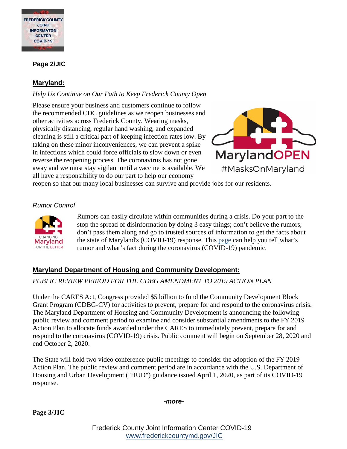

#### **Page 2/JIC**

#### **Maryland:**

#### *Help Us Continue on Our Path to Keep Frederick County Open*

Please ensure your business and customers continue to follow the recommended CDC guidelines as we reopen businesses and other activities across Frederick County. Wearing masks, physically distancing, regular hand washing, and expanded cleaning is still a critical part of keeping infection rates low. By taking on these minor inconveniences, we can prevent a spike in infections which could force officials to slow down or even reverse the reopening process. The coronavirus has not gone away and we must stay vigilant until a vaccine is available. We all have a responsibility to do our part to help our economy



reopen so that our many local businesses can survive and provide jobs for our residents.

#### *Rumor Control*



Rumors can easily circulate within communities during a crisis. Do your part to the stop the spread of disinformation by doing 3 easy things; don't believe the rumors, don't pass them along and go to trusted sources of information to get the facts about the state of Maryland's (COVID-19) response. This [page](https://govstatus.egov.com/md-coronavirus-rumor-control) can help you tell what's rumor and what's fact during the coronavirus (COVID-19) pandemic.

#### **Maryland Department of Housing and Community Development:**

#### *PUBLIC REVIEW PERIOD FOR THE CDBG AMENDMENT TO 2019 ACTION PLAN*

Under the CARES Act, Congress provided \$5 billion to fund the Community Development Block Grant Program (CDBG-CV) for activities to prevent, prepare for and respond to the coronavirus crisis. The Maryland Department of Housing and Community Development is announcing the following public review and comment period to examine and consider substantial amendments to the FY 2019 Action Plan to allocate funds awarded under the CARES to immediately prevent, prepare for and respond to the coronavirus (COVID-19) crisis. Public comment will begin on September 28, 2020 and end October 2, 2020.

The State will hold two video conference public meetings to consider the adoption of the FY 2019 Action Plan. The public review and comment period are in accordance with the U.S. Department of Housing and Urban Development ("HUD") guidance issued April 1, 2020, as part of its COVID-19 response.

*-more-*

**Page 3/JIC**

Frederick County Joint Information Center COVID-19 [www.frederickcountymd.gov/JIC](https://frederickcountymd.gov/JIC)